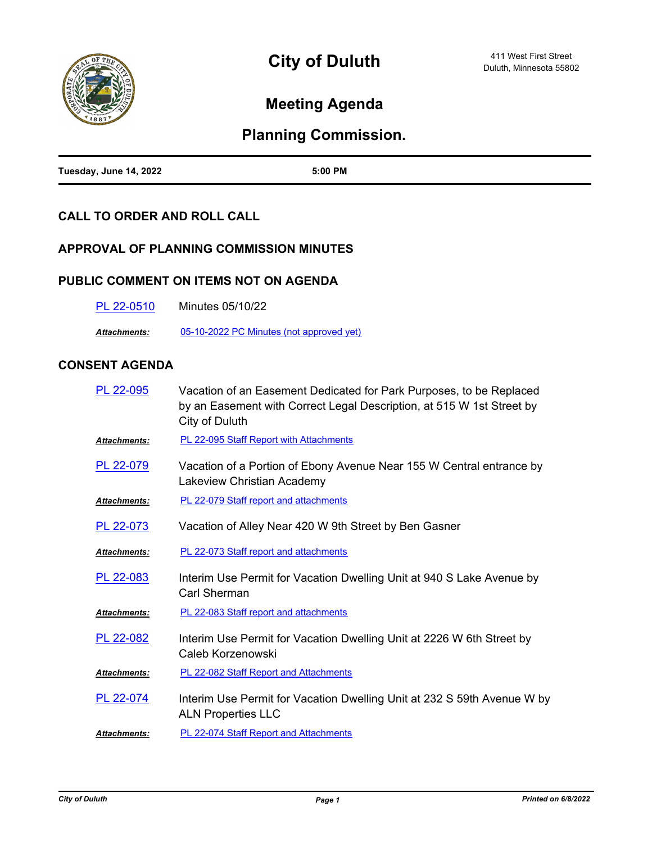

# **Meeting Agenda**

# **Planning Commission.**

| Tuesday, June 14, 2022 | 5:00 PM |
|------------------------|---------|

## **CALL TO ORDER AND ROLL CALL**

### **APPROVAL OF PLANNING COMMISSION MINUTES**

### **PUBLIC COMMENT ON ITEMS NOT ON AGENDA**

| <b>Minutes 05/10/22</b><br>PL 22-0510 |
|---------------------------------------|
|---------------------------------------|

*Attachments:* [05-10-2022 PC Minutes \(not approved yet\)](http://duluth-mn.legistar.com/gateway.aspx?M=F&ID=aac12953-7ca7-4d9c-91bb-924bd07813f2.pdf)

## **CONSENT AGENDA**

| PL 22-095           | Vacation of an Easement Dedicated for Park Purposes, to be Replaced<br>by an Easement with Correct Legal Description, at 515 W 1st Street by<br>City of Duluth |
|---------------------|----------------------------------------------------------------------------------------------------------------------------------------------------------------|
| Attachments:        | <b>PL 22-095 Staff Report with Attachments</b>                                                                                                                 |
| PL 22-079           | Vacation of a Portion of Ebony Avenue Near 155 W Central entrance by<br>Lakeview Christian Academy                                                             |
| Attachments:        | <b>PL 22-079 Staff report and attachments</b>                                                                                                                  |
| PL 22-073           | Vacation of Alley Near 420 W 9th Street by Ben Gasner                                                                                                          |
| <b>Attachments:</b> | PL 22-073 Staff report and attachments                                                                                                                         |
| PL 22-083           | Interim Use Permit for Vacation Dwelling Unit at 940 S Lake Avenue by<br>Carl Sherman                                                                          |
| <b>Attachments:</b> | PL 22-083 Staff report and attachments                                                                                                                         |
| PL 22-082           | Interim Use Permit for Vacation Dwelling Unit at 2226 W 6th Street by<br>Caleb Korzenowski                                                                     |
| Attachments:        | <b>PL 22-082 Staff Report and Attachments</b>                                                                                                                  |
| PL 22-074           | Interim Use Permit for Vacation Dwelling Unit at 232 S 59th Avenue W by<br><b>ALN Properties LLC</b>                                                           |
| <b>Attachments:</b> | PL 22-074 Staff Report and Attachments                                                                                                                         |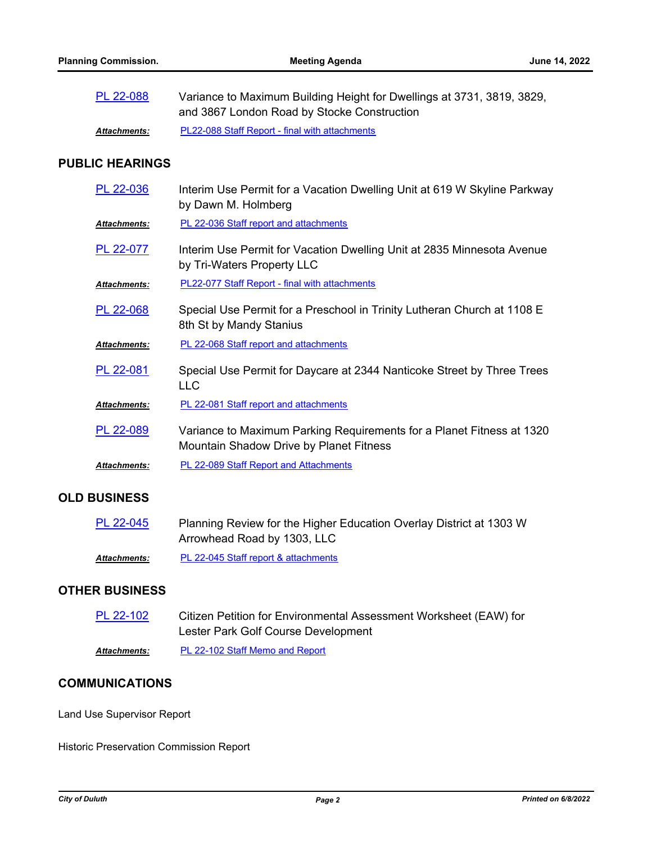| PL 22-088           | Variance to Maximum Building Height for Dwellings at 3731, 3819, 3829,<br>and 3867 London Road by Stocke Construction |
|---------------------|-----------------------------------------------------------------------------------------------------------------------|
| <b>Attachments:</b> | <b>PL22-088 Staff Report - final with attachments</b>                                                                 |

### **PUBLIC HEARINGS**

| PL 22-036           | Interim Use Permit for a Vacation Dwelling Unit at 619 W Skyline Parkway<br>by Dawn M. Holmberg                  |
|---------------------|------------------------------------------------------------------------------------------------------------------|
| Attachments:        | PL 22-036 Staff report and attachments                                                                           |
| PL 22-077           | Interim Use Permit for Vacation Dwelling Unit at 2835 Minnesota Avenue<br>by Tri-Waters Property LLC             |
| Attachments:        | PL22-077 Staff Report - final with attachments                                                                   |
| PL 22-068           | Special Use Permit for a Preschool in Trinity Lutheran Church at 1108 E<br>8th St by Mandy Stanius               |
| Attachments:        | PL 22-068 Staff report and attachments                                                                           |
| PL 22-081           | Special Use Permit for Daycare at 2344 Nanticoke Street by Three Trees<br>LLC                                    |
| Attachments:        | PL 22-081 Staff report and attachments                                                                           |
| PL 22-089           | Variance to Maximum Parking Requirements for a Planet Fitness at 1320<br>Mountain Shadow Drive by Planet Fitness |
| <b>Attachments:</b> | <b>PL 22-089 Staff Report and Attachments</b>                                                                    |
|                     |                                                                                                                  |

### **OLD BUSINESS**

| PL 22-045    | Planning Review for the Higher Education Overlay District at 1303 W |
|--------------|---------------------------------------------------------------------|
|              | Arrowhead Road by 1303, LLC                                         |
| Attachments: | PL 22-045 Staff report & attachments                                |

### **OTHER BUSINESS**

| PL 22-102 | Citizen Petition for Environmental Assessment Worksheet (EAW) for |
|-----------|-------------------------------------------------------------------|
|           | Lester Park Golf Course Development                               |

*Attachments:* [PL 22-102 Staff Memo and Report](http://duluth-mn.legistar.com/gateway.aspx?M=F&ID=a4ecd86f-929f-450d-9557-55143420b53c.pdf)

### **COMMUNICATIONS**

Land Use Supervisor Report

Historic Preservation Commission Report